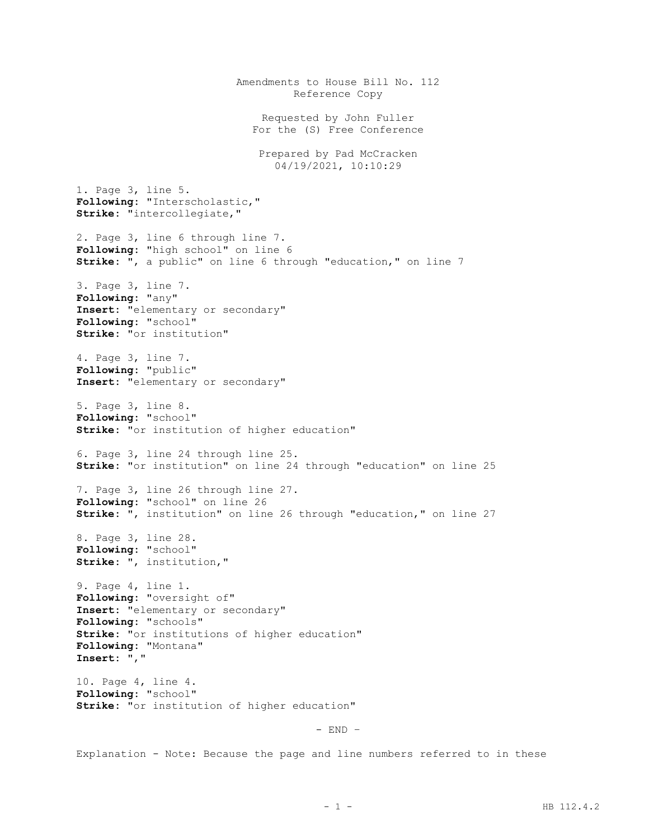Amendments to House Bill No. 112 Reference Copy Requested by John Fuller For the (S) Free Conference Prepared by Pad McCracken 04/19/2021, 10:10:29 1. Page 3, line 5. **Following:** "Interscholastic," **Strike:** "intercollegiate," 2. Page 3, line 6 through line 7. **Following:** "high school" on line 6 **Strike:** ", a public" on line 6 through "education," on line 7 3. Page 3, line 7. **Following:** "any" **Insert:** "elementary or secondary" **Following:** "school" **Strike:** "or institution" 4. Page 3, line 7. **Following:** "public" **Insert:** "elementary or secondary" 5. Page 3, line 8. **Following:** "school" **Strike:** "or institution of higher education" 6. Page 3, line 24 through line 25. **Strike:** "or institution" on line 24 through "education" on line 25 7. Page 3, line 26 through line 27. **Following:** "school" on line 26 **Strike:** ", institution" on line 26 through "education," on line 27 8. Page 3, line 28. **Following:** "school" **Strike:** ", institution," 9. Page 4, line 1. **Following:** "oversight of" **Insert:** "elementary or secondary" **Following:** "schools" **Strike:** "or institutions of higher education" **Following:** "Montana" **Insert:** "," 10. Page 4, line 4. **Following:** "school" **Strike:** "or institution of higher education" - END –

Explanation - Note: Because the page and line numbers referred to in these